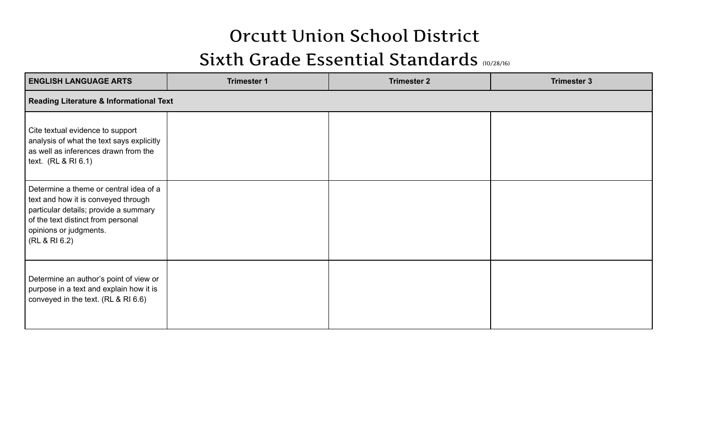## Orcutt Union School District

## Sixth Grade Essential Standards (10/28/16)

| <b>ENGLISH LANGUAGE ARTS</b>                                                                                                                                                                            | <b>Trimester 1</b> | <b>Trimester 2</b> | <b>Trimester 3</b> |  |  |  |
|---------------------------------------------------------------------------------------------------------------------------------------------------------------------------------------------------------|--------------------|--------------------|--------------------|--|--|--|
| <b>Reading Literature &amp; Informational Text</b>                                                                                                                                                      |                    |                    |                    |  |  |  |
| Cite textual evidence to support<br>analysis of what the text says explicitly<br>as well as inferences drawn from the<br>text. $(RL & RI 6.1)$                                                          |                    |                    |                    |  |  |  |
| Determine a theme or central idea of a<br>text and how it is conveyed through<br>particular details; provide a summary<br>of the text distinct from personal<br>opinions or judgments.<br>(RL & RI 6.2) |                    |                    |                    |  |  |  |
| Determine an author's point of view or<br>purpose in a text and explain how it is<br>conveyed in the text. (RL & RI 6.6)                                                                                |                    |                    |                    |  |  |  |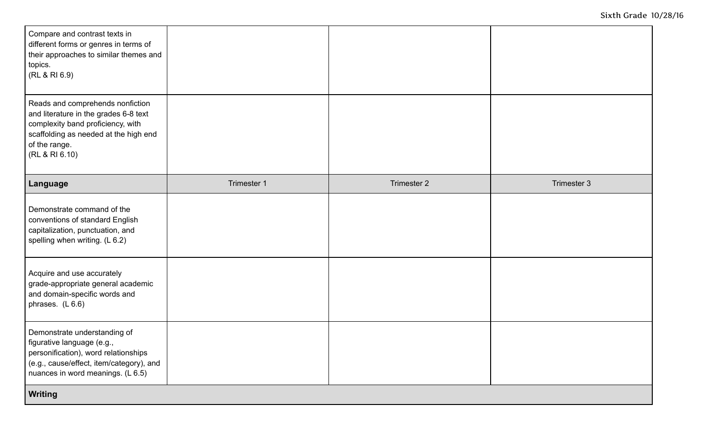| Compare and contrast texts in<br>different forms or genres in terms of<br>their approaches to similar themes and<br>topics.<br>(RL & RI 6.9)                                               |             |             |             |  |  |
|--------------------------------------------------------------------------------------------------------------------------------------------------------------------------------------------|-------------|-------------|-------------|--|--|
| Reads and comprehends nonfiction<br>and literature in the grades 6-8 text<br>complexity band proficiency, with<br>scaffolding as needed at the high end<br>of the range.<br>(RL & RI 6.10) |             |             |             |  |  |
| Language                                                                                                                                                                                   | Trimester 1 | Trimester 2 | Trimester 3 |  |  |
| Demonstrate command of the<br>conventions of standard English<br>capitalization, punctuation, and<br>spelling when writing. (L 6.2)                                                        |             |             |             |  |  |
| Acquire and use accurately<br>grade-appropriate general academic<br>and domain-specific words and<br>phrases. $(L 6.6)$                                                                    |             |             |             |  |  |
| Demonstrate understanding of<br>figurative language (e.g.,<br>personification), word relationships<br>(e.g., cause/effect, item/category), and<br>nuances in word meanings. (L 6.5)        |             |             |             |  |  |
| <b>Writing</b>                                                                                                                                                                             |             |             |             |  |  |